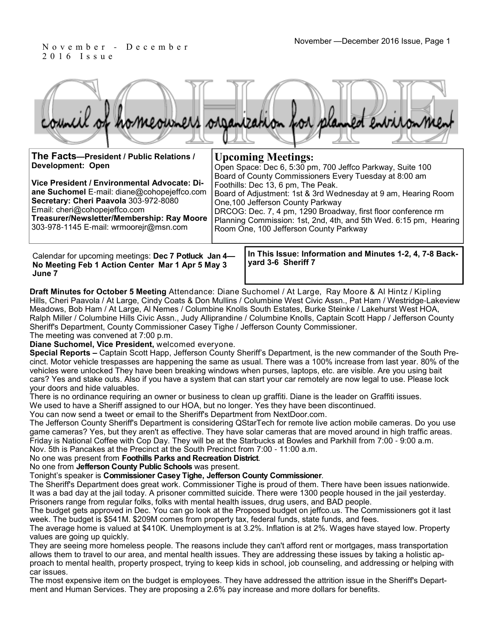2 0 1 6 I s s u e

|  |  |  | council of homeowners organization for planned environment |
|--|--|--|------------------------------------------------------------|
|  |  |  |                                                            |

| The Facts-President / Public Relations /                                             | <b>Upcoming Meetings:</b>                                                                                   |  |  |  |
|--------------------------------------------------------------------------------------|-------------------------------------------------------------------------------------------------------------|--|--|--|
| Development: Open                                                                    | Open Space: Dec 6, 5:30 pm, 700 Jeffco Parkway, Suite 100                                                   |  |  |  |
| Vice President / Environmental Advocate: Di-                                         | Board of County Commissioners Every Tuesday at 8:00 am<br>Foothills: Dec 13, 6 pm, The Peak.                |  |  |  |
| ane Suchomel E-mail: diane@cohopejeffco.com                                          | Board of Adjustment: 1st & 3rd Wednesday at 9 am, Hearing Room                                              |  |  |  |
| Secretary: Cheri Paavola 303-972-8080<br>Email: cheri@cohopejeffco.com               | One, 100 Jefferson County Parkway<br>DRCOG: Dec. 7, 4 pm, 1290 Broadway, first floor conference rm          |  |  |  |
| Treasurer/Newsletter/Membership: Ray Moore<br>303-978-1145 E-mail: wrmoorejr@msn.com | Planning Commission: 1st, 2nd, 4th, and 5th Wed. 6:15 pm, Hearing<br>Room One, 100 Jefferson County Parkway |  |  |  |
|                                                                                      |                                                                                                             |  |  |  |
|                                                                                      |                                                                                                             |  |  |  |

Calendar for upcoming meetings: **Dec 7 Potluck Jan 4— No Meeting Feb 1 Action Center Mar 1 Apr 5 May 3 June 7**

**In This Issue: Information and Minutes 1-2, 4, 7-8 Backyard 3-6 Sheriff 7** 

**Draft Minutes for October 5 Meeting** Attendance: Diane Suchomel / At Large, Ray Moore & Al Hintz / Kipling Hills, Cheri Paavola / At Large, Cindy Coats & Don Mullins / Columbine West Civic Assn., Pat Ham / Westridge-Lakeview Meadows, Bob Ham / At Large, Al Nemes / Columbine Knolls South Estates, Burke Steinke / Lakehurst West HOA, Ralph Miller / Columbine Hills Civic Assn., Judy Alliprandine / Columbine Knolls, Captain Scott Happ / Jefferson County Sheriff's Department, County Commissioner Casey Tighe / Jefferson County Commissioner.

The meeting was convened at 7:00 p.m.

**Diane Suchomel, Vice President,** welcomed everyone.

**Special Reports –** Captain Scott Happ, Jefferson County Sheriff's Department, is the new commander of the South Precinct. Motor vehicle trespasses are happening the same as usual. There was a 100% increase from last year. 80% of the vehicles were unlocked They have been breaking windows when purses, laptops, etc. are visible. Are you using bait cars? Yes and stake outs. Also if you have a system that can start your car remotely are now legal to use. Please lock your doors and hide valuables.

There is no ordinance requiring an owner or business to clean up graffiti. Diane is the leader on Graffiti issues.

We used to have a Sheriff assigned to our HOA, but no longer. Yes they have been discontinued.

You can now send a tweet or email to the Sheriff's Department from NextDoor.com.

The Jefferson County Sheriff's Department is considering QStarTech for remote live action mobile cameras. Do you use game cameras? Yes, but they aren't as effective. They have solar cameras that are moved around in high traffic areas. Friday is National Coffee with Cop Day. They will be at the Starbucks at Bowles and Parkhill from 7:00 - 9:00 a.m. Nov. 5th is Pancakes at the Precinct at the South Precinct from 7:00 - 11:00 a.m.

#### No one was present from **Foothills Parks and Recreation District**.

No one from **Jefferson County Public Schools** was present.

Tonight's speaker is **Commissioner Casey Tighe, Jefferson County Commissioner**.

The Sheriff's Department does great work. Commissioner Tighe is proud of them. There have been issues nationwide. It was a bad day at the jail today. A prisoner committed suicide. There were 1300 people housed in the jail yesterday. Prisoners range from regular folks, folks with mental health issues, drug users, and BAD people.

The budget gets approved in Dec. You can go look at the Proposed budget on jeffco.us. The Commissioners got it last week. The budget is \$541M. \$209M comes from property tax, federal funds, state funds, and fees.

The average home is valued at \$410K. Unemployment is at 3.2%. Inflation is at 2%. Wages have stayed low. Property values are going up quickly.

They are seeing more homeless people. The reasons include they can't afford rent or mortgages, mass transportation allows them to travel to our area, and mental health issues. They are addressing these issues by taking a holistic approach to mental health, property prospect, trying to keep kids in school, job counseling, and addressing or helping with car issues.

The most expensive item on the budget is employees. They have addressed the attrition issue in the Sheriff's Department and Human Services. They are proposing a 2.6% pay increase and more dollars for benefits.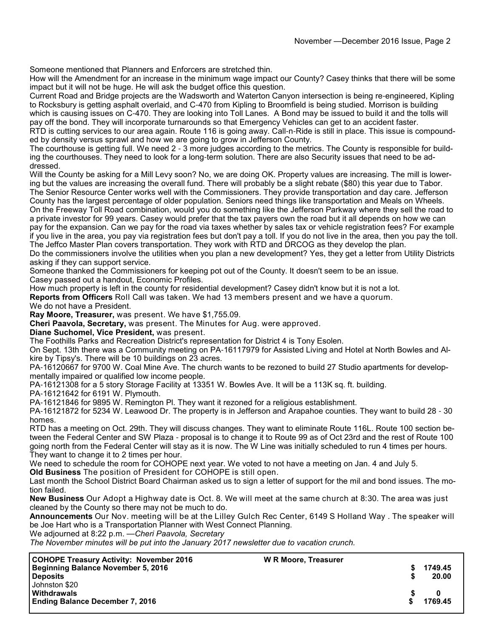Someone mentioned that Planners and Enforcers are stretched thin.

How will the Amendment for an increase in the minimum wage impact our County? Casey thinks that there will be some impact but it will not be huge. He will ask the budget office this question.

Current Road and Bridge projects are the Wadsworth and Waterton Canyon intersection is being re-engineered, Kipling to Rocksbury is getting asphalt overlaid, and C-470 from Kipling to Broomfield is being studied. Morrison is building which is causing issues on C-470. They are looking into Toll Lanes. A Bond may be issued to build it and the tolls will pay off the bond. They will incorporate turnarounds so that Emergency Vehicles can get to an accident faster. RTD is cutting services to our area again. Route 116 is going away. Call-n-Ride is still in place. This issue is compound-

ed by density versus sprawl and how we are going to grow in Jefferson County.

The courthouse is getting full. We need 2 - 3 more judges according to the metrics. The County is responsible for building the courthouses. They need to look for a long-term solution. There are also Security issues that need to be addressed.

Will the County be asking for a Mill Levy soon? No, we are doing OK. Property values are increasing. The mill is lowering but the values are increasing the overall fund. There will probably be a slight rebate (\$80) this year due to Tabor. The Senior Resource Center works well with the Commissioners. They provide transportation and day care. Jefferson

County has the largest percentage of older population. Seniors need things like transportation and Meals on Wheels. On the Freeway Toll Road combination, would you do something like the Jefferson Parkway where they sell the road to a private investor for 99 years. Casey would prefer that the tax payers own the road but it all depends on how we can pay for the expansion. Can we pay for the road via taxes whether by sales tax or vehicle registration fees? For example if you live in the area, you pay via registration fees but don't pay a toll. If you do not live in the area, then you pay the toll. The Jeffco Master Plan covers transportation. They work with RTD and DRCOG as they develop the plan.

Do the commissioners involve the utilities when you plan a new development? Yes, they get a letter from Utility Districts asking if they can support service.

Someone thanked the Commissioners for keeping pot out of the County. It doesn't seem to be an issue. Casey passed out a handout, Economic Profiles.

How much property is left in the county for residential development? Casey didn't know but it is not a lot.

**Reports from Officers** Roll Call was taken. We had 13 members present and we have a quorum.

We do not have a President.

**Ray Moore, Treasurer,** was present. We have \$1,755.09.

**Cheri Paavola, Secretary,** was present. The Minutes for Aug. were approved.

**Diane Suchomel, Vice President,** was present.

The Foothills Parks and Recreation District's representation for District 4 is Tony Esolen.

On Sept. 13th there was a Community meeting on PA-16117979 for Assisted Living and Hotel at North Bowles and Alkire by Tipsy's. There will be 10 buildings on 23 acres.

PA-16120667 for 9700 W. Coal Mine Ave. The church wants to be rezoned to build 27 Studio apartments for developmentally impaired or qualified low income people.

PA-16121308 for a 5 story Storage Facility at 13351 W. Bowles Ave. It will be a 113K sq. ft. building.

PA-16121642 for 6191 W. Plymouth.

PA-16121846 for 9895 W. Remington Pl. They want it rezoned for a religious establishment.

PA-16121872 for 5234 W. Leawood Dr. The property is in Jefferson and Arapahoe counties. They want to build 28 - 30 homes.

RTD has a meeting on Oct. 29th. They will discuss changes. They want to eliminate Route 116L. Route 100 section between the Federal Center and SW Plaza - proposal is to change it to Route 99 as of Oct 23rd and the rest of Route 100 going north from the Federal Center will stay as it is now. The W Line was initially scheduled to run 4 times per hours. They want to change it to 2 times per hour.

We need to schedule the room for COHOPE next year. We voted to not have a meeting on Jan. 4 and July 5.

**Old Business** The position of President for COHOPE is still open.

Last month the School District Board Chairman asked us to sign a letter of support for the mil and bond issues. The motion failed.

**New Business** Our Adopt a Highway date is Oct. 8. We will meet at the same church at 8:30. The area was just cleaned by the County so there may not be much to do.

**Announcements** Our Nov. meeting will be at the Lilley Gulch Rec Center, 6149 S Holland Way . The speaker will be Joe Hart who is a Transportation Planner with West Connect Planning.

We adjourned at 8:22 p.m. —*Cheri Paavola, Secretary*

*The November minutes will be put into the January 2017 newsletter due to vacation crunch.*

| <b>COHOPE Treasury Activity: November 2016</b> | W R Moore, Treasurer |         |
|------------------------------------------------|----------------------|---------|
| Beginning Balance November 5, 2016             |                      | 1749.45 |
| <b>Deposits</b>                                |                      | 20.00   |
| Johnston \$20                                  |                      |         |
| <b>Withdrawals</b>                             |                      |         |
| <b>Ending Balance December 7, 2016</b>         |                      | 1769.45 |
|                                                |                      |         |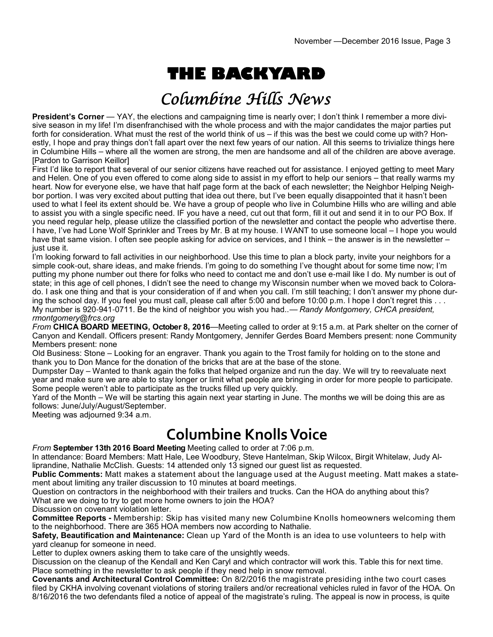# **THE BACKYARD**

# Columbine Hills News

**President's Corner** — YAY, the elections and campaigning time is nearly over; I don't think I remember a more divisive season in my life! I'm disenfranchised with the whole process and with the major candidates the major parties put forth for consideration. What must the rest of the world think of us – if this was the best we could come up with? Honestly, I hope and pray things don't fall apart over the next few years of our nation. All this seems to trivialize things here in Columbine Hills – where all the women are strong, the men are handsome and all of the children are above average. [Pardon to Garrison Keillor]

First I'd like to report that several of our senior citizens have reached out for assistance. I enjoyed getting to meet Mary and Helen. One of you even offered to come along side to assist in my effort to help our seniors – that really warms my heart. Now for everyone else, we have that half page form at the back of each newsletter; the Neighbor Helping Neighbor portion. I was very excited about putting that idea out there, but I've been equally disappointed that it hasn't been used to what I feel its extent should be. We have a group of people who live in Columbine Hills who are willing and able to assist you with a single specific need. IF you have a need, cut out that form, fill it out and send it in to our PO Box. If you need regular help, please utilize the classified portion of the newsletter and contact the people who advertise there. I have, I've had Lone Wolf Sprinkler and Trees by Mr. B at my house. I WANT to use someone local – I hope you would have that same vision. I often see people asking for advice on services, and I think – the answer is in the newsletter – just use it.

I'm looking forward to fall activities in our neighborhood. Use this time to plan a block party, invite your neighbors for a simple cook-out, share ideas, and make friends. I'm going to do something I've thought about for some time now; I'm putting my phone number out there for folks who need to contact me and don't use e-mail like I do. My number is out of state; in this age of cell phones, I didn't see the need to change my Wisconsin number when we moved back to Colorado. I ask one thing and that is your consideration of if and when you call. I'm still teaching; I don't answer my phone during the school day. If you feel you must call, please call after 5:00 and before 10:00 p.m. I hope I don't regret this . . . My number is 920-941-0711. Be the kind of neighbor you wish you had..— *Randy Montgomery, CHCA president, rmontgomery@frcs.org*

*From* **CHICA BOARD MEETING, October 8, 2016**—Meeting called to order at 9:15 a.m. at Park shelter on the corner of Canyon and Kendall. Officers present: Randy Montgomery, Jennifer Gerdes Board Members present: none Community Members present: none

Old Business: Stone – Looking for an engraver. Thank you again to the Trost family for holding on to the stone and thank you to Don Mance for the donation of the bricks that are at the base of the stone.

Dumpster Day – Wanted to thank again the folks that helped organize and run the day. We will try to reevaluate next year and make sure we are able to stay longer or limit what people are bringing in order for more people to participate. Some people weren't able to participate as the trucks filled up very quickly.

Yard of the Month – We will be starting this again next year starting in June. The months we will be doing this are as follows: June/July/August/September.

Meeting was adjourned 9:34 a.m.

**Columbine Knolls Voice** 

*From* **September 13th 2016 Board Meeting** Meeting called to order at 7:06 p.m.

In attendance: Board Members: Matt Hale, Lee Woodbury, Steve Hantelman, Skip Wilcox, Birgit Whitelaw, Judy Alliprandine, Nathalie McClish. Guests: 14 attended only 13 signed our guest list as requested.

**Public Comments:** Matt makes a statement about the language used at the August meeting. Matt makes a statement about limiting any trailer discussion to 10 minutes at board meetings.

Question on contractors in the neighborhood with their trailers and trucks. Can the HOA do anything about this? What are we doing to try to get more home owners to join the HOA?

Discussion on covenant violation letter.

**Committee Reports -** Membership: Skip has visited many new Columbine Knolls homeowners welcoming them to the neighborhood. There are 365 HOA members now according to Nathalie.

**Safety, Beautification and Maintenance:** Clean up Yard of the Month is an idea to use volunteers to help with yard cleanup for someone in need.

Letter to duplex owners asking them to take care of the unsightly weeds.

Discussion on the cleanup of the Kendall and Ken Caryl and which contractor will work this. Table this for next time. Place something in the newsletter to ask people if they need help in snow removal.

**Covenants and Architectural Control Committee:** On 8/2/2016 the magistrate presiding inthe two court cases filed by CKHA involving covenant violations of storing trailers and/or recreational vehicles ruled in favor of the HOA. On 8/16/2016 the two defendants filed a notice of appeal of the magistrate's ruling. The appeal is now in process, is quite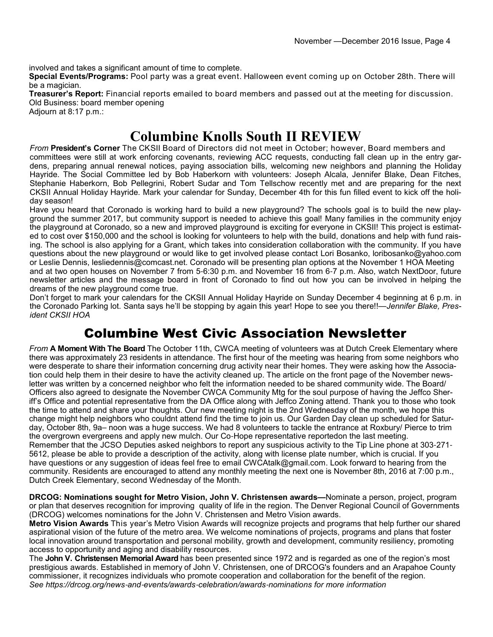involved and takes a significant amount of time to complete.

**Special Events/Programs:** Pool party was a great event. Halloween event coming up on October 28th. There will be a magician.

**Treasurer's Report:** Financial reports emailed to board members and passed out at the meeting for discussion. Old Business: board member opening

Adjourn at 8:17 p.m.:

### **Columbine Knolls South II REVIEW**

*From* **President's Corner** The CKSII Board of Directors did not meet in October; however, Board members and committees were still at work enforcing covenants, reviewing ACC requests, conducting fall clean up in the entry gardens, preparing annual renewal notices, paying association bills, welcoming new neighbors and planning the Holiday Hayride. The Social Committee led by Bob Haberkorn with volunteers: Joseph Alcala, Jennifer Blake, Dean Fitches, Stephanie Haberkorn, Bob Pellegrini, Robert Sudar and Tom Tellschow recently met and are preparing for the next CKSII Annual Holiday Hayride. Mark your calendar for Sunday, December 4th for this fun filled event to kick off the holiday season!

Have you heard that Coronado is working hard to build a new playground? The schools goal is to build the new playground the summer 2017, but community support is needed to achieve this goal! Many families in the community enjoy the playground at Coronado, so a new and improved playground is exciting for everyone in CKSII! This project is estimated to cost over \$150,000 and the school is looking for volunteers to help with the build, donations and help with fund raising. The school is also applying for a Grant, which takes into consideration collaboration with the community. If you have questions about the new playground or would like to get involved please contact Lori Bosanko, loribosanko@yahoo.com or Leslie Dennis, lesliedennis@comcast.net. Coronado will be presenting plan options at the November 1 HOA Meeting and at two open houses on November 7 from 5-6:30 p.m. and November 16 from 6-7 p.m. Also, watch NextDoor, future newsletter articles and the message board in front of Coronado to find out how you can be involved in helping the dreams of the new playground come true.

Don't forget to mark your calendars for the CKSII Annual Holiday Hayride on Sunday December 4 beginning at 6 p.m. in the Coronado Parking lot. Santa says he'll be stopping by again this year! Hope to see you there!!—*Jennifer Blake, President CKSII HOA*

#### Columbine West Civic Association Newsletter

*From* **A Moment With The Board** The October 11th, CWCA meeting of volunteers was at Dutch Creek Elementary where there was approximately 23 residents in attendance. The first hour of the meeting was hearing from some neighbors who were desperate to share their information concerning drug activity near their homes. They were asking how the Association could help them in their desire to have the activity cleaned up. The article on the front page of the November newsletter was written by a concerned neighbor who felt the information needed to be shared community wide. The Board/ Officers also agreed to designate the November CWCA Community Mtg for the soul purpose of having the Jeffco Sheriff's Office and potential representative from the DA Office along with Jeffco Zoning attend. Thank you to those who took the time to attend and share your thoughts. Our new meeting night is the 2nd Wednesday of the month, we hope this change might help neighbors who couldnt attend find the time to join us. Our Garden Day clean up scheduled for Saturday, October 8th, 9a– noon was a huge success. We had 8 volunteers to tackle the entrance at Roxbury/ Pierce to trim the overgrown evergreens and apply new mulch. Our Co-Hope representative reportedon the last meeting. Remember that the JCSO Deputies asked neighbors to report any suspicious activity to the Tip Line phone at 303-271- 5612, please be able to provide a description of the activity, along with license plate number, which is crucial. If you have questions or any suggestion of ideas feel free to email CWCAtalk@gmail.com. Look forward to hearing from the community. Residents are encouraged to attend any monthly meeting the next one is November 8th, 2016 at 7:00 p.m., Dutch Creek Elementary, second Wednesday of the Month.

**DRCOG: Nominations sought for Metro Vision, John V. Christensen awards—**Nominate a person, project, program or plan that deserves recognition for improving quality of life in the region. The Denver Regional Council of Governments (DRCOG) welcomes nominations for the John V. Christensen and Metro Vision awards.

**Metro Vision Awards** This year's Metro Vision Awards will recognize projects and programs that help further our shared aspirational vision of the future of the metro area. We welcome nominations of projects, programs and plans that foster local innovation around transportation and personal mobility, growth and development, community resiliency, promoting access to opportunity and aging and disability resources.

The **John V. Christensen Memorial Award** has been presented since 1972 and is regarded as one of the region's most prestigious awards. Established in memory of John V. Christensen, one of DRCOG's founders and an Arapahoe County commissioner, it recognizes individuals who promote cooperation and collaboration for the benefit of the region. *See https://drcog.org/news*-*and*-*events/awards*-*celebration/awards*-*nominations for more information*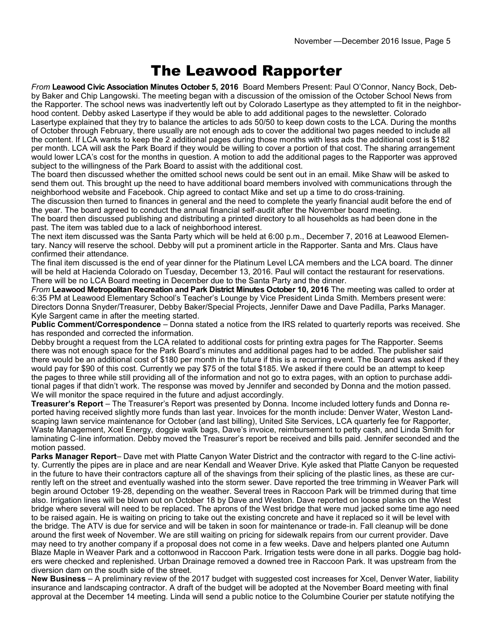## The Leawood Rapporter

*From* **Leawood Civic Association Minutes October 5, 2016** Board Members Present: Paul O'Connor, Nancy Bock, Debby Baker and Chip Langowski. The meeting began with a discussion of the omission of the October School News from the Rapporter. The school news was inadvertently left out by Colorado Lasertype as they attempted to fit in the neighborhood content. Debby asked Lasertype if they would be able to add additional pages to the newsletter. Colorado Lasertype explained that they try to balance the articles to ads 50/50 to keep down costs to the LCA. During the months of October through February, there usually are not enough ads to cover the additional two pages needed to include all the content. If LCA wants to keep the 2 additional pages during those months with less ads the additional cost is \$182 per month. LCA will ask the Park Board if they would be willing to cover a portion of that cost. The sharing arrangement would lower LCA's cost for the months in question. A motion to add the additional pages to the Rapporter was approved subject to the willingness of the Park Board to assist with the additional cost.

The board then discussed whether the omitted school news could be sent out in an email. Mike Shaw will be asked to send them out. This brought up the need to have additional board members involved with communications through the neighborhood website and Facebook. Chip agreed to contact Mike and set up a time to do cross-training.

The discussion then turned to finances in general and the need to complete the yearly financial audit before the end of the year. The board agreed to conduct the annual financial self-audit after the November board meeting.

The board then discussed publishing and distributing a printed directory to all households as had been done in the past. The item was tabled due to a lack of neighborhood interest.

The next item discussed was the Santa Party which will be held at 6:00 p.m., December 7, 2016 at Leawood Elementary. Nancy will reserve the school. Debby will put a prominent article in the Rapporter. Santa and Mrs. Claus have confirmed their attendance.

The final item discussed is the end of year dinner for the Platinum Level LCA members and the LCA board. The dinner will be held at Hacienda Colorado on Tuesday, December 13, 2016. Paul will contact the restaurant for reservations. There will be no LCA Board meeting in December due to the Santa Party and the dinner.

*From* **Leawood Metropolitan Recreation and Park District Minutes October 10, 2016** The meeting was called to order at 6:35 PM at Leawood Elementary School's Teacher's Lounge by Vice President Linda Smith. Members present were: Directors Donna Snyder/Treasurer, Debby Baker/Special Projects, Jennifer Dawe and Dave Padilla, Parks Manager. Kyle Sargent came in after the meeting started.

**Public Comment/Correspondence** – Donna stated a notice from the IRS related to quarterly reports was received. She has responded and corrected the information.

Debby brought a request from the LCA related to additional costs for printing extra pages for The Rapporter. Seems there was not enough space for the Park Board's minutes and additional pages had to be added. The publisher said there would be an additional cost of \$180 per month in the future if this is a recurring event. The Board was asked if they would pay for \$90 of this cost. Currently we pay \$75 of the total \$185. We asked if there could be an attempt to keep the pages to three while still providing all of the information and not go to extra pages, with an option to purchase additional pages if that didn't work. The response was moved by Jennifer and seconded by Donna and the motion passed. We will monitor the space required in the future and adjust accordingly.

**Treasurer's Report** – The Treasurer's Report was presented by Donna. Income included lottery funds and Donna reported having received slightly more funds than last year. Invoices for the month include: Denver Water, Weston Landscaping lawn service maintenance for October (and last billing), United Site Services, LCA quarterly fee for Rapporter, Waste Management, Xcel Energy, doggie walk bags, Dave's invoice, reimbursement to petty cash, and Linda Smith for laminating C-line information. Debby moved the Treasurer's report be received and bills paid. Jennifer seconded and the motion passed.

**Parks Manager Report**– Dave met with Platte Canyon Water District and the contractor with regard to the C-line activity. Currently the pipes are in place and are near Kendall and Weaver Drive. Kyle asked that Platte Canyon be requested in the future to have their contractors capture all of the shavings from their splicing of the plastic lines, as these are currently left on the street and eventually washed into the storm sewer. Dave reported the tree trimming in Weaver Park will begin around October 19-28, depending on the weather. Several trees in Raccoon Park will be trimmed during that time also. Irrigation lines will be blown out on October 18 by Dave and Weston. Dave reported on loose planks on the West bridge where several will need to be replaced. The aprons of the West bridge that were mud jacked some time ago need to be raised again. He is waiting on pricing to take out the existing concrete and have it replaced so it will be level with the bridge. The ATV is due for service and will be taken in soon for maintenance or trade-in. Fall cleanup will be done around the first week of November. We are still waiting on pricing for sidewalk repairs from our current provider. Dave may need to try another company if a proposal does not come in a few weeks. Dave and helpers planted one Autumn Blaze Maple in Weaver Park and a cottonwood in Raccoon Park. Irrigation tests were done in all parks. Doggie bag holders were checked and replenished. Urban Drainage removed a downed tree in Raccoon Park. It was upstream from the diversion dam on the south side of the street.

**New Business** – A preliminary review of the 2017 budget with suggested cost increases for Xcel, Denver Water, liability insurance and landscaping contractor. A draft of the budget will be adopted at the November Board meeting with final approval at the December 14 meeting. Linda will send a public notice to the Columbine Courier per statute notifying the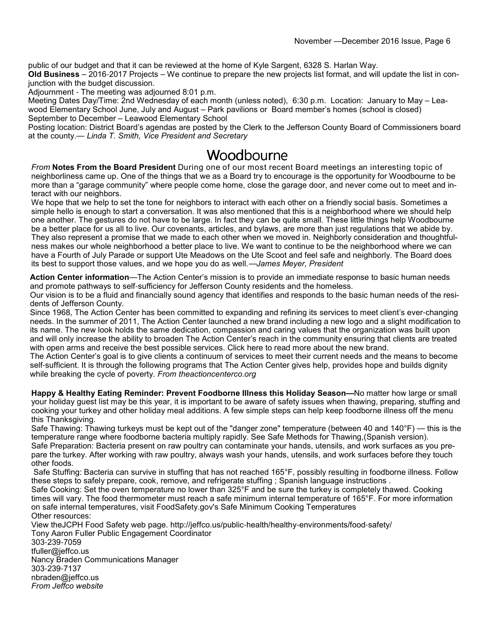public of our budget and that it can be reviewed at the home of Kyle Sargent, 6328 S. Harlan Way.

**Old Business** – 2016-2017 Projects – We continue to prepare the new projects list format, and will update the list in conjunction with the budget discussion.

Adjournment - The meeting was adjourned 8:01 p.m.

Meeting Dates Day/Time: 2nd Wednesday of each month (unless noted), 6:30 p.m. Location: January to May – Leawood Elementary School June, July and August – Park pavilions or Board member's homes (school is closed) September to December – Leawood Elementary School

Posting location: District Board's agendas are posted by the Clerk to the Jefferson County Board of Commissioners board at the county.— *Linda T. Smith, Vice President and Secretary*

#### Woodbourne

*From* **Notes From the Board President** During one of our most recent Board meetings an interesting topic of neighborliness came up. One of the things that we as a Board try to encourage is the opportunity for Woodbourne to be more than a "garage community" where people come home, close the garage door, and never come out to meet and interact with our neighbors.

We hope that we help to set the tone for neighbors to interact with each other on a friendly social basis. Sometimes a simple hello is enough to start a conversation. It was also mentioned that this is a neighborhood where we should help one another. The gestures do not have to be large. In fact they can be quite small. These little things help Woodbourne be a better place for us all to live. Our covenants, articles, and bylaws, are more than just regulations that we abide by. They also represent a promise that we made to each other when we moved in. Neighborly consideration and thoughtfulness makes our whole neighborhood a better place to live. We want to continue to be the neighborhood where we can have a Fourth of July Parade or support Ute Meadows on the Ute Scoot and feel safe and neighborly. The Board does its best to support those values, and we hope you do as well.—*James Meyer, President*

**Action Center information**—The Action Center's mission is to provide an immediate response to basic human needs and promote pathways to self-sufficiency for Jefferson County residents and the homeless.

Our vision is to be a fluid and financially sound agency that identifies and responds to the basic human needs of the residents of Jefferson County.

Since 1968, The Action Center has been committed to expanding and refining its services to meet client's ever-changing needs. In the summer of 2011, The Action Center launched a new brand including a new logo and a slight modification to its name. The new look holds the same dedication, compassion and caring values that the organization was built upon and will only increase the ability to broaden The Action Center's reach in the community ensuring that clients are treated with open arms and receive the best possible services. Click here to read more about the new brand.

The Action Center's goal is to give clients a continuum of services to meet their current needs and the means to become self-sufficient. It is through the following programs that The Action Center gives help, provides hope and builds dignity while breaking the cycle of poverty. *From theactioncenterco.org* 

**Happy & Healthy Eating Reminder: Prevent Foodborne Illness this Holiday Season—**No matter how large or small your holiday guest list may be this year, it is important to be aware of safety issues when thawing, preparing, stuffing and cooking your turkey and other holiday meal additions. A few simple steps can help keep foodborne illness off the menu this Thanksgiving.

Safe Thawing: Thawing turkeys must be kept out of the "danger zone" temperature (between 40 and 140°F) — this is the temperature range where foodborne bacteria multiply rapidly. See Safe Methods for Thawing,(Spanish version). Safe Preparation: Bacteria present on raw poultry can contaminate your hands, utensils, and work surfaces as you prepare the turkey. After working with raw poultry, always wash your hands, utensils, and work surfaces before they touch other foods.

Safe Stuffing: Bacteria can survive in stuffing that has not reached 165°F, possibly resulting in foodborne illness. Follow these steps to safely prepare, cook, remove, and refrigerate stuffing ; Spanish language instructions .

Safe Cooking: Set the oven temperature no lower than 325°F and be sure the turkey is completely thawed. Cooking times will vary. The food thermometer must reach a safe minimum internal temperature of 165°F. For more information on safe internal temperatures, visit FoodSafety.gov's Safe Minimum Cooking Temperatures Other resources:

View theJCPH Food Safety web page. http://jeffco.us/public-health/healthy-environments/food-safety/ Tony Aaron Fuller Public Engagement Coordinator 303-239-7059 tfuller@jeffco.us Nancy Braden Communications Manager 303-239-7137 nbraden@jeffco.us *From Jeffco website*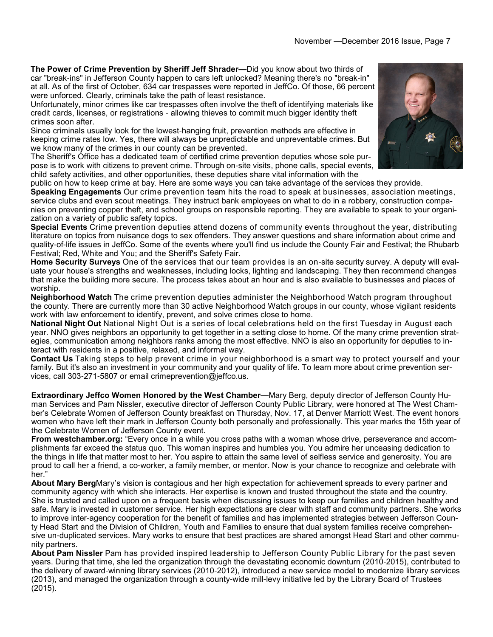**The Power of Crime Prevention by Sheriff Jeff Shrader—**Did you know about two thirds of car "break-ins" in Jefferson County happen to cars left unlocked? Meaning there's no "break-in" at all. As of the first of October, 634 car trespasses were reported in JeffCo. Of those, 66 percent were unforced. Clearly, criminals take the path of least resistance.

Unfortunately, minor crimes like car trespasses often involve the theft of identifying materials like credit cards, licenses, or registrations - allowing thieves to commit much bigger identity theft crimes soon after.

Since criminals usually look for the lowest-hanging fruit, prevention methods are effective in keeping crime rates low. Yes, there will always be unpredictable and unpreventable crimes. But we know many of the crimes in our county can be prevented.

The Sheriff's Office has a dedicated team of certified crime prevention deputies whose sole purpose is to work with citizens to prevent crime. Through on-site visits, phone calls, special events, child safety activities, and other opportunities, these deputies share vital information with the



public on how to keep crime at bay. Here are some ways you can take advantage of the services they provide.

**Speaking Engagements** Our crime prevention team hits the road to speak at businesses, association meetings, service clubs and even scout meetings. They instruct bank employees on what to do in a robbery, construction companies on preventing copper theft, and school groups on responsible reporting. They are available to speak to your organization on a variety of public safety topics.

**Special Events** Crime prevention deputies attend dozens of community events throughout the year, distributing literature on topics from nuisance dogs to sex offenders. They answer questions and share information about crime and quality-of-life issues in JeffCo. Some of the events where you'll find us include the County Fair and Festival; the Rhubarb Festival; Red, White and You; and the Sheriff's Safety Fair.

**Home Security Surveys** One of the services that our team provides is an on-site security survey. A deputy will evaluate your house's strengths and weaknesses, including locks, lighting and landscaping. They then recommend changes that make the building more secure. The process takes about an hour and is also available to businesses and places of worship.

**Neighborhood Watch** The crime prevention deputies administer the Neighborhood Watch program throughout the county. There are currently more than 30 active Neighborhood Watch groups in our county, whose vigilant residents work with law enforcement to identify, prevent, and solve crimes close to home.

**National Night Out** National Night Out is a series of local celebrations held on the first Tuesday in August each year. NNO gives neighbors an opportunity to get together in a setting close to home. Of the many crime prevention strategies, communication among neighbors ranks among the most effective. NNO is also an opportunity for deputies to interact with residents in a positive, relaxed, and informal way.

**Contact Us** Taking steps to help prevent crime in your neighborhood is a smart way to protect yourself and your family. But it's also an investment in your community and your quality of life. To learn more about crime prevention services, call 303-271-5807 or email crimeprevention@jeffco.us.

**Extraordinary Jeffco Women Honored by the West Chamber**—Mary Berg, deputy director of Jefferson County Human Services and Pam Nissler, executive director of Jefferson County Public Library, were honored at The West Chamber's Celebrate Women of Jefferson County breakfast on Thursday, Nov. 17, at Denver Marriott West. The event honors women who have left their mark in Jefferson County both personally and professionally. This year marks the 15th year of the Celebrate Women of Jefferson County event.

**From westchamber.org:** "Every once in a while you cross paths with a woman whose drive, perseverance and accomplishments far exceed the status quo. This woman inspires and humbles you. You admire her unceasing dedication to the things in life that matter most to her. You aspire to attain the same level of selfless service and generosity. You are proud to call her a friend, a co-worker, a family member, or mentor. Now is your chance to recognize and celebrate with her."

**About Mary Berg**Mary's vision is contagious and her high expectation for achievement spreads to every partner and community agency with which she interacts. Her expertise is known and trusted throughout the state and the country. She is trusted and called upon on a frequent basis when discussing issues to keep our families and children healthy and safe. Mary is invested in customer service. Her high expectations are clear with staff and community partners. She works to improve inter-agency cooperation for the benefit of families and has implemented strategies between Jefferson County Head Start and the Division of Children, Youth and Families to ensure that dual system families receive comprehensive un-duplicated services. Mary works to ensure that best practices are shared amongst Head Start and other community partners.

**About Pam Nissler** Pam has provided inspired leadership to Jefferson County Public Library for the past seven years. During that time, she led the organization through the devastating economic downturn (2010-2015), contributed to the delivery of award-winning library services (2010-2012), introduced a new service model to modernize library services (2013), and managed the organization through a county-wide mill-levy initiative led by the Library Board of Trustees (2015).